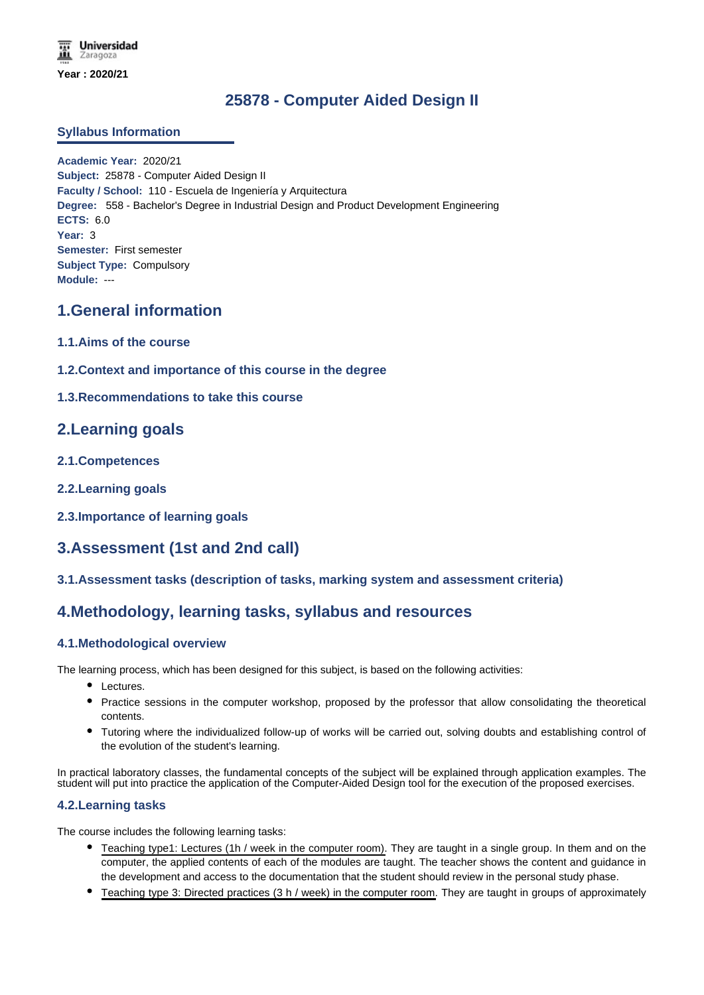# **25878 - Computer Aided Design II**

### **Syllabus Information**

**Academic Year:** 2020/21 **Subject:** 25878 - Computer Aided Design II **Faculty / School:** 110 - Escuela de Ingeniería y Arquitectura **Degree:** 558 - Bachelor's Degree in Industrial Design and Product Development Engineering **ECTS:** 6.0 **Year:** 3 **Semester:** First semester **Subject Type:** Compulsory **Module:** ---

## **1.General information**

- **1.1.Aims of the course**
- **1.2.Context and importance of this course in the degree**
- **1.3.Recommendations to take this course**

## **2.Learning goals**

- **2.1.Competences**
- **2.2.Learning goals**
- **2.3.Importance of learning goals**

## **3.Assessment (1st and 2nd call)**

### **3.1.Assessment tasks (description of tasks, marking system and assessment criteria)**

## **4.Methodology, learning tasks, syllabus and resources**

### **4.1.Methodological overview**

The learning process, which has been designed for this subject, is based on the following activities:

- Lectures.
- Practice sessions in the computer workshop, proposed by the professor that allow consolidating the theoretical contents.
- Tutoring where the individualized follow-up of works will be carried out, solving doubts and establishing control of the evolution of the student's learning.

In practical laboratory classes, the fundamental concepts of the subject will be explained through application examples. The student will put into practice the application of the Computer-Aided Design tool for the execution of the proposed exercises.

### **4.2.Learning tasks**

The course includes the following learning tasks:

- Teaching type1: Lectures (1h / week in the computer room). They are taught in a single group. In them and on the computer, the applied contents of each of the modules are taught. The teacher shows the content and guidance in the development and access to the documentation that the student should review in the personal study phase.
- Teaching type 3: Directed practices (3 h / week) in the computer room. They are taught in groups of approximately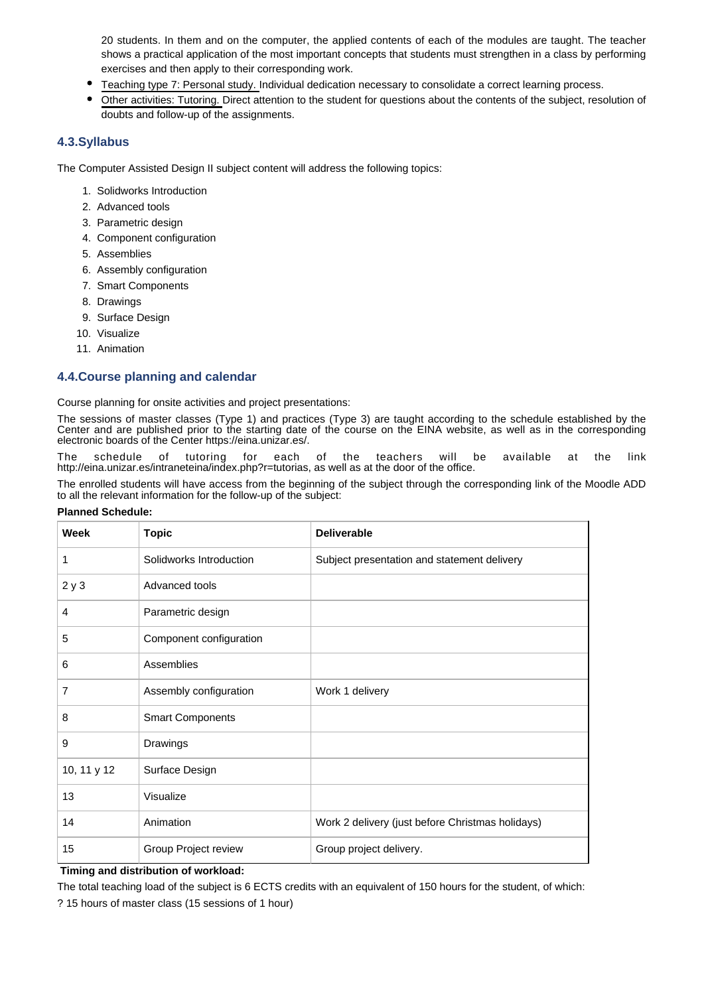20 students. In them and on the computer, the applied contents of each of the modules are taught. The teacher shows a practical application of the most important concepts that students must strengthen in a class by performing exercises and then apply to their corresponding work.

- Teaching type 7: Personal study. Individual dedication necessary to consolidate a correct learning process.
- Other activities: Tutoring. Direct attention to the student for questions about the contents of the subject, resolution of doubts and follow-up of the assignments.

### **4.3.Syllabus**

The Computer Assisted Design II subject content will address the following topics:

- 1. Solidworks Introduction
- 2. Advanced tools
- 3. Parametric design
- 4. Component configuration
- 5. Assemblies
- 6. Assembly configuration
- 7. Smart Components
- 8. Drawings
- 9. Surface Design
- 10. Visualize
- 11. Animation

### **4.4.Course planning and calendar**

Course planning for onsite activities and project presentations:

The sessions of master classes (Type 1) and practices (Type 3) are taught according to the schedule established by the Center and are published prior to the starting date of the course on the EINA website, as well as in the corresponding electronic boards of the Center https://eina.unizar.es/.

The schedule of tutoring for each of the teachers will be available at the link http://eina.unizar.es/intraneteina/index.php?r=tutorias, as well as at the door of the office.

The enrolled students will have access from the beginning of the subject through the corresponding link of the Moodle ADD to all the relevant information for the follow-up of the subject:

| <b>Week</b> | <b>Topic</b>            | <b>Deliverable</b>                               |
|-------------|-------------------------|--------------------------------------------------|
| 1           | Solidworks Introduction | Subject presentation and statement delivery      |
| 2y3         | Advanced tools          |                                                  |
| 4           | Parametric design       |                                                  |
| 5           | Component configuration |                                                  |
| 6           | Assemblies              |                                                  |
| 7           | Assembly configuration  | Work 1 delivery                                  |
| 8           | <b>Smart Components</b> |                                                  |
| 9           | Drawings                |                                                  |
| 10, 11 y 12 | Surface Design          |                                                  |
| 13          | Visualize               |                                                  |
| 14          | Animation               | Work 2 delivery (just before Christmas holidays) |
| 15          | Group Project review    | Group project delivery.                          |

#### **Planned Schedule:**

**Timing and distribution of workload:**

The total teaching load of the subject is 6 ECTS credits with an equivalent of 150 hours for the student, of which:

? 15 hours of master class (15 sessions of 1 hour)